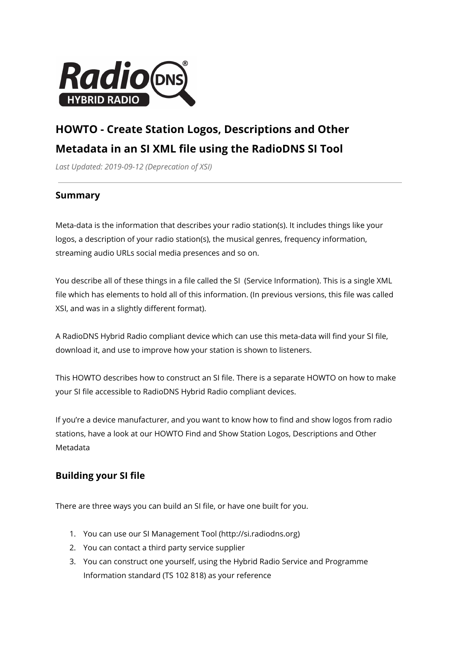

# **HOWTO - Create Station Logos, Descriptions and Other Metadata in an SI XML file using the RadioDNS SI Tool**

*Last Updated: 2019-09-12 (Deprecation of XSI)*

### **Summary**

Meta-data is the information that describes your radio station(s). It includes things like your logos, a description of your radio station(s), the musical genres, frequency information, streaming audio URLs social media presences and so on.

You describe all of these things in a file called the SI (Service Information). This is a single XML file which has elements to hold all of this information. (In previous versions, this file was called XSI, and was in a slightly different format).

A RadioDNS Hybrid Radio compliant device which can use this meta-data will find your SI file, download it, and use to improve how your station is shown to listeners.

This HOWTO describes how to construct an SI file. There is a separate HOWTO on how to make your SI file accessible to RadioDNS Hybrid Radio compliant devices.

If you're a device manufacturer, and you want to know how to find and show logos from radio stations, have a look at our HOWTO Find and Show Station Logos, Descriptions and Other Metadata

# **Building your SI file**

There are three ways you can build an SI file, or have one built for you.

- 1. You can use our SI Management Tool (http://si.radiodns.org)
- 2. You can contact a third party service supplier
- 3. You can construct one yourself, using the Hybrid Radio Service and Programme Information standard (TS 102 818) as your reference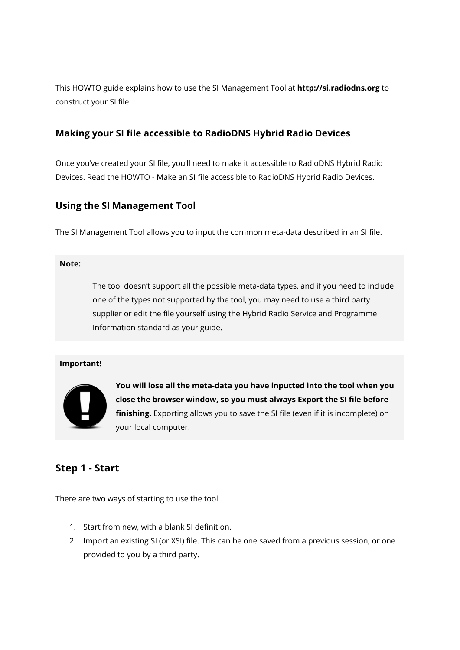This HOWTO guide explains how to use the SI Management Tool at **http://si.radiodns.org** to construct your SI file.

### **Making your SI file accessible to RadioDNS Hybrid Radio Devices**

Once you've created your SI file, you'll need to make it accessible to RadioDNS Hybrid Radio Devices. Read the HOWTO - Make an SI file accessible to RadioDNS Hybrid Radio Devices.

### **Using the SI Management Tool**

The SI Management Tool allows you to input the common meta-data described in an SI file.

#### **Note:**

The tool doesn't support all the possible meta-data types, and if you need to include one of the types not supported by the tool, you may need to use a third party supplier or edit the file yourself using the Hybrid Radio Service and Programme Information standard as your guide.

### **Important!**



**You will lose all the meta-data you have inputted into the tool when you close the browser window, so you must always Export the SI file before finishing.** Exporting allows you to save the SI file (even if it is incomplete) on your local computer.

# **Step 1 - Start**

There are two ways of starting to use the tool.

- 1. Start from new, with a blank SI definition.
- 2. Import an existing SI (or XSI) file. This can be one saved from a previous session, or one provided to you by a third party.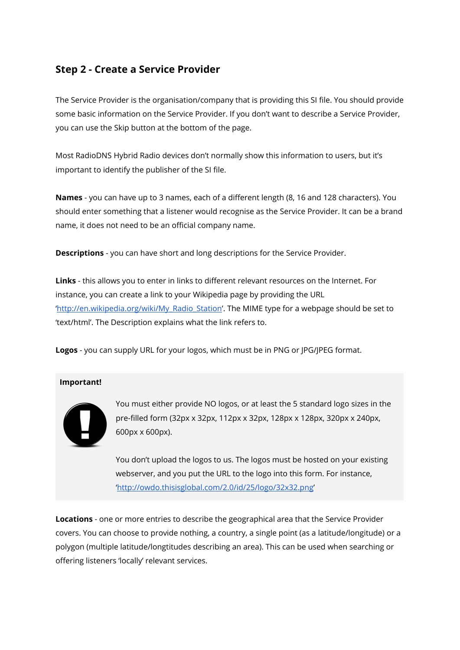# **Step 2 - Create a Service Provider**

The Service Provider is the organisation/company that is providing this SI file. You should provide some basic information on the Service Provider. If you don't want to describe a Service Provider, you can use the Skip button at the bottom of the page.

Most RadioDNS Hybrid Radio devices don't normally show this information to users, but it's important to identify the publisher of the SI file.

**Names** - you can have up to 3 names, each of a different length (8, 16 and 128 characters). You should enter something that a listener would recognise as the Service Provider. It can be a brand name, it does not need to be an official company name.

**Descriptions** - you can have short and long descriptions for the Service Provider.

**Links** - this allows you to enter in links to different relevant resources on the Internet. For instance, you can create a link to your Wikipedia page by providing the URL '[http://en.wikipedia.org/wiki/My\\_Radio\\_Station](http://en.wikipedia.org/wiki/My_Radio_Station)'. The MIME type for a webpage should be set to 'text/html'. The Description explains what the link refers to.

**Logos** - you can supply URL for your logos, which must be in PNG or JPG/JPEG format.

### **Important!**



You must either provide NO logos, or at least the 5 standard logo sizes in the pre-filled form (32px x 32px, 112px x 32px, 128px x 128px, 320px x 240px, 600px x 600px).

You don't upload the logos to us. The logos must be hosted on your existing webserver, and you put the URL to the logo into this form. For instance, '<http://owdo.thisisglobal.com/2.0/id/25/logo/32x32.png>'

**Locations** - one or more entries to describe the geographical area that the Service Provider covers. You can choose to provide nothing, a country, a single point (as a latitude/longitude) or a polygon (multiple latitude/longtitudes describing an area). This can be used when searching or offering listeners 'locally' relevant services.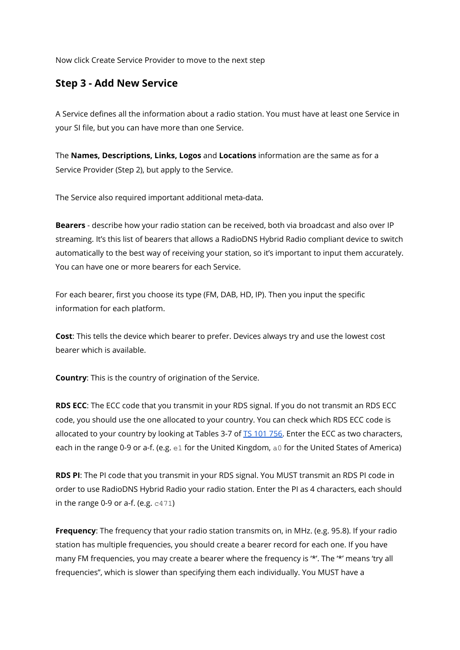Now click Create Service Provider to move to the next step

## **Step 3 - Add New Service**

A Service defines all the information about a radio station. You must have at least one Service in your SI file, but you can have more than one Service.

The **Names, Descriptions, Links, Logos** and **Locations** information are the same as for a Service Provider (Step 2), but apply to the Service.

The Service also required important additional meta-data.

**Bearers** - describe how your radio station can be received, both via broadcast and also over IP streaming. It's this list of bearers that allows a RadioDNS Hybrid Radio compliant device to switch automatically to the best way of receiving your station, so it's important to input them accurately. You can have one or more bearers for each Service.

For each bearer, first you choose its type (FM, DAB, HD, IP). Then you input the specific information for each platform.

**Cost**: This tells the device which bearer to prefer. Devices always try and use the lowest cost bearer which is available.

**Country**: This is the country of origination of the Service.

**RDS ECC**: The ECC code that you transmit in your RDS signal. If you do not transmit an RDS ECC code, you should use the one allocated to your country. You can check which RDS ECC code is allocated to your country by looking at Tables 3-7 of TS [101](http://www.etsi.org/deliver/etsi_ts/101700_101799/101756/01.06.01_60/ts_101756v010601p.pdf) 756. Enter the ECC as two characters, each in the range 0-9 or a-f. (e.g. e1 for the United Kingdom, a0 for the United States of America)

**RDS PI**: The PI code that you transmit in your RDS signal. You MUST transmit an RDS PI code in order to use RadioDNS Hybrid Radio your radio station. Enter the PI as 4 characters, each should in the range 0-9 or a-f. (e.g.  $c471$ )

**Frequency**: The frequency that your radio station transmits on, in MHz. (e.g. 95.8). If your radio station has multiple frequencies, you should create a bearer record for each one. If you have many FM frequencies, you may create a bearer where the frequency is '\*'. The '\*' means 'try all frequencies", which is slower than specifying them each individually. You MUST have a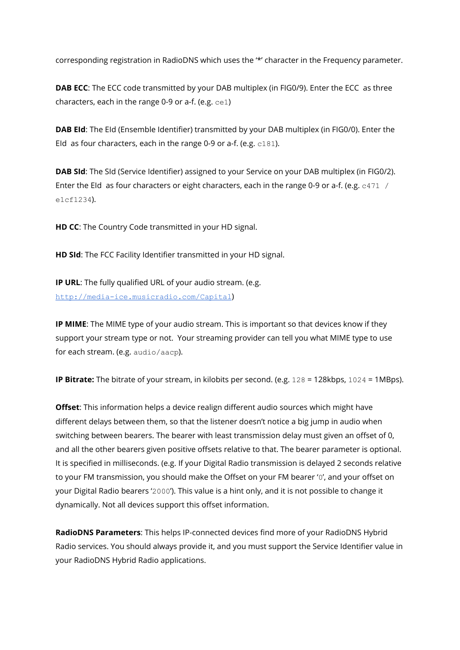corresponding registration in RadioDNS which uses the '\*' character in the Frequency parameter.

**DAB ECC**: The ECC code transmitted by your DAB multiplex (in FIG0/9). Enter the ECC as three characters, each in the range 0-9 or a-f. (e.g.  $ce1$ )

**DAB EId**: The EId (Ensemble Identifier) transmitted by your DAB multiplex (in FIG0/0). Enter the EId as four characters, each in the range 0-9 or a-f. (e.g.  $c181$ ).

**DAB SId**: The SId (Service Identifier) assigned to your Service on your DAB multiplex (in FIG0/2). Enter the EId as four characters or eight characters, each in the range 0-9 or a-f. (e.g.  $c471 /$ e1cf1234).

**HD CC**: The Country Code transmitted in your HD signal.

**HD SId**: The FCC Facility Identifier transmitted in your HD signal.

**IP URL**: The fully qualified URL of your audio stream. (e.g. <http://media-ice.musicradio.com/Capital>)

**IP MIME**: The MIME type of your audio stream. This is important so that devices know if they support your stream type or not. Your streaming provider can tell you what MIME type to use for each stream. (e.g. audio/aacp).

**IP Bitrate:** The bitrate of your stream, in kilobits per second. (e.g. 128 = 128kbps, 1024 = 1MBps).

**Offset**: This information helps a device realign different audio sources which might have different delays between them, so that the listener doesn't notice a big jump in audio when switching between bearers. The bearer with least transmission delay must given an offset of 0, and all the other bearers given positive offsets relative to that. The bearer parameter is optional. It is specified in milliseconds. (e.g. If your Digital Radio transmission is delayed 2 seconds relative to your FM transmission, you should make the Offset on your FM bearer '0', and your offset on your Digital Radio bearers '2000'). This value is a hint only, and it is not possible to change it dynamically. Not all devices support this offset information.

**RadioDNS Parameters**: This helps IP-connected devices find more of your RadioDNS Hybrid Radio services. You should always provide it, and you must support the Service Identifier value in your RadioDNS Hybrid Radio applications.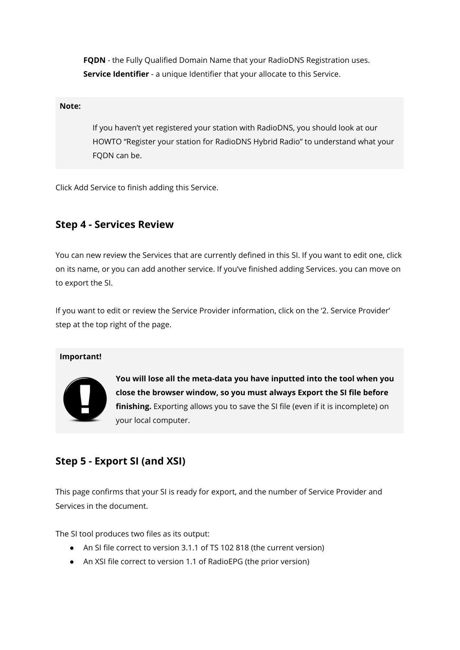**FQDN** - the Fully Qualified Domain Name that your RadioDNS Registration uses. **Service Identifier** - a unique Identifier that your allocate to this Service.

#### **Note:**

If you haven't yet registered your station with RadioDNS, you should look at our HOWTO "Register your station for RadioDNS Hybrid Radio" to understand what your FQDN can be.

Click Add Service to finish adding this Service.

## **Step 4 - Services Review**

You can new review the Services that are currently defined in this SI. If you want to edit one, click on its name, or you can add another service. If you've finished adding Services. you can move on to export the SI.

If you want to edit or review the Service Provider information, click on the '2. Service Provider' step at the top right of the page.

#### **Important!**



**You will lose all the meta-data you have inputted into the tool when you close the browser window, so you must always Export the SI file before finishing.** Exporting allows you to save the SI file (even if it is incomplete) on your local computer.

# **Step 5 - Export SI (and XSI)**

This page confirms that your SI is ready for export, and the number of Service Provider and Services in the document.

The SI tool produces two files as its output:

- An SI file correct to version 3.1.1 of TS 102 818 (the current version)
- An XSI file correct to version 1.1 of RadioEPG (the prior version)